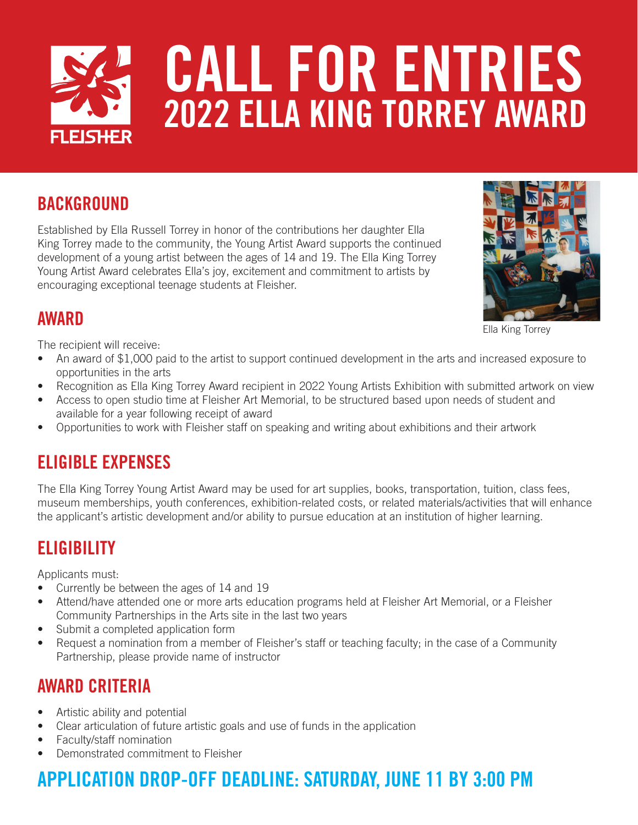

#### **BACKGROUND**

Established by Ella Russell Torrey in honor of the contributions her daughter Ella King Torrey made to the community, the Young Artist Award supports the continued development of a young artist between the ages of 14 and 19. The Ella King Torrey Young Artist Award celebrates Ella's joy, excitement and commitment to artists by encouraging exceptional teenage students at Fleisher.



Ella King Torrey

#### AWARD

The recipient will receive:

- An award of \$1,000 paid to the artist to support continued development in the arts and increased exposure to opportunities in the arts
- Recognition as Ella King Torrey Award recipient in 2022 Young Artists Exhibition with submitted artwork on view
- Access to open studio time at Fleisher Art Memorial, to be structured based upon needs of student and available for a year following receipt of award
- Opportunities to work with Fleisher staff on speaking and writing about exhibitions and their artwork

#### ELIGIBLE EXPENSES

The Ella King Torrey Young Artist Award may be used for art supplies, books, transportation, tuition, class fees, museum memberships, youth conferences, exhibition-related costs, or related materials/activities that will enhance the applicant's artistic development and/or ability to pursue education at an institution of higher learning.

#### **ELIGIBILITY**

Applicants must:

- Currently be between the ages of 14 and 19
- Attend/have attended one or more arts education programs held at Fleisher Art Memorial, or a Fleisher Community Partnerships in the Arts site in the last two years
- Submit a completed application form
- Request a nomination from a member of Fleisher's staff or teaching faculty; in the case of a Community Partnership, please provide name of instructor

#### AWARD CRITERIA

- Artistic ability and potential
- Clear articulation of future artistic goals and use of funds in the application
- Faculty/staff nomination
- Demonstrated commitment to Fleisher

## APPLICATION DROP-OFF DEADLINE: SATURDAY, JUNE 11 BY 3:00 PM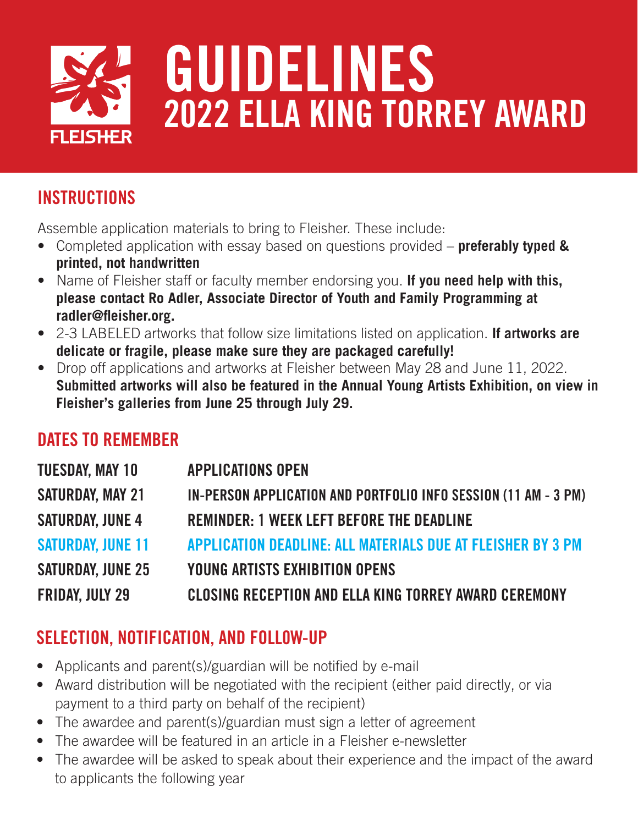

### **INSTRUCTIONS**

Assemble application materials to bring to Fleisher. These include:

- Completed application with essay based on questions provided **preferably typed & printed, not handwritten**
- Name of Fleisher staff or faculty member endorsing you. **If you need help with this, please contact Ro Adler, Associate Director of Youth and Family Programming at radler@fleisher.org.**
- 2-3 LABELED artworks that follow size limitations listed on application. **If artworks are delicate or fragile, please make sure they are packaged carefully!**
- Drop off applications and artworks at Fleisher between May 28 and June 11, 2022. **Submitted artworks will also be featured in the Annual Young Artists Exhibition, on view in Fleisher's galleries from June 25 through July 29.**

#### DATES TO REMEMBER

| <b>TUESDAY, MAY 10</b>   | <b>APPLICATIONS OPEN</b>                                        |
|--------------------------|-----------------------------------------------------------------|
| <b>SATURDAY, MAY 21</b>  | IN-PERSON APPLICATION AND PORTFOLIO INFO SESSION (11 AM - 3 PM) |
| <b>SATURDAY, JUNE 4</b>  | <b>REMINDER: 1 WEEK LEFT BEFORE THE DEADLINE</b>                |
| <b>SATURDAY, JUNE 11</b> | APPLICATION DEADLINE: ALL MATERIALS DUE AT FLEISHER BY 3 PM     |
| <b>SATURDAY, JUNE 25</b> | <b>YOUNG ARTISTS EXHIBITION OPENS</b>                           |
| <b>FRIDAY, JULY 29</b>   | <b>CLOSING RECEPTION AND ELLA KING TORREY AWARD CEREMONY</b>    |

#### SELECTION, NOTIFICATION, AND FOLL0W-UP

- Applicants and parent(s)/guardian will be notified by e-mail
- Award distribution will be negotiated with the recipient (either paid directly, or via payment to a third party on behalf of the recipient)
- The awardee and parent(s)/guardian must sign a letter of agreement
- The awardee will be featured in an article in a Fleisher e-newsletter
- The awardee will be asked to speak about their experience and the impact of the award to applicants the following year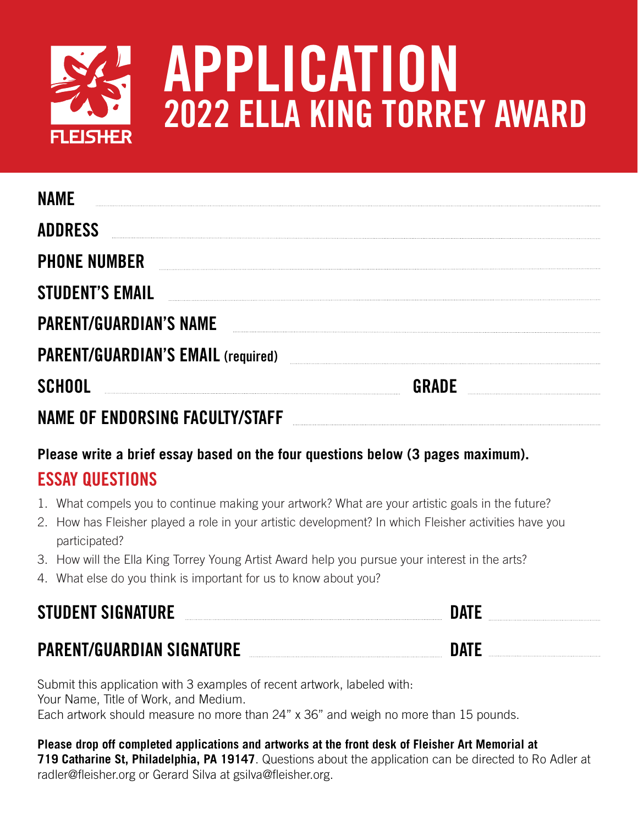

# APPLICATION 2022 ELLA KING TORREY AWARD

| <b>NAMF</b>                               |              |  |
|-------------------------------------------|--------------|--|
| <b>ADDRESS</b>                            |              |  |
| <b>PHONE NUMBER</b>                       |              |  |
| <b>STUDENT'S EMAIL</b>                    |              |  |
| <b>PARENT/GUARDIAN'S NAME</b>             |              |  |
| <b>PARENT/GUARDIAN'S EMAIL (required)</b> |              |  |
| <b>SCHOOL</b>                             | <b>GRADE</b> |  |
| <b>NAME OF ENDORSING FACULTY/STAFF</b>    |              |  |

#### **Please write a brief essay based on the four questions below (3 pages maximum).**  ESSAY QUESTIONS

- 1. What compels you to continue making your artwork? What are your artistic goals in the future?
- 2. How has Fleisher played a role in your artistic development? In which Fleisher activities have you participated?
- 3. How will the Ella King Torrey Young Artist Award help you pursue your interest in the arts?
- 4. What else do you think is important for us to know about you?

# STUDENT SIGNATURE DATE PARENT/GUARDIAN SIGNATURE DATE

Submit this application with 3 examples of recent artwork, labeled with: Your Name, Title of Work, and Medium. Each artwork should measure no more than 24" x 36" and weigh no more than 15 pounds.

**Please drop off completed applications and artworks at the front desk of Fleisher Art Memorial at 719 Catharine St, Philadelphia, PA 19147**. Questions about the application can be directed to Ro Adler at radler@fleisher.org or Gerard Silva at gsilva@fleisher.org.